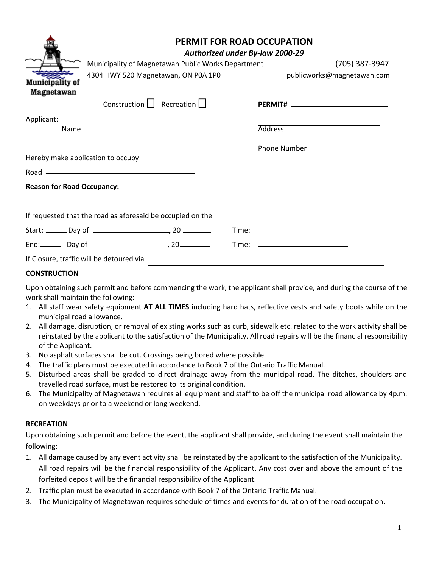|                                                            | <b>PERMIT FOR ROAD OCCUPATION</b><br>Authorized under By-law 2000-29                                                 |  |                                                                                                                       |                            |  |
|------------------------------------------------------------|----------------------------------------------------------------------------------------------------------------------|--|-----------------------------------------------------------------------------------------------------------------------|----------------------------|--|
|                                                            | Municipality of Magnetawan Public Works Department                                                                   |  | (705) 387-3947                                                                                                        |                            |  |
|                                                            | 4304 HWY 520 Magnetawan, ON P0A 1P0                                                                                  |  |                                                                                                                       | publicworks@magnetawan.com |  |
| <b>Municipality of</b><br>Magnetawan                       |                                                                                                                      |  |                                                                                                                       |                            |  |
|                                                            | Construction $\Box$ Recreation $\Box$                                                                                |  | <b>PERMIT#</b> 2008 2009 2012 2022 2023 2024 2022 2022 2023 2024 2022 2023 2024 2022 2023 2024 2022 2023 2024 2022 20 |                            |  |
| Applicant:                                                 |                                                                                                                      |  |                                                                                                                       |                            |  |
| <b>Name</b>                                                |                                                                                                                      |  | <b>Address</b>                                                                                                        |                            |  |
|                                                            |                                                                                                                      |  | <b>Phone Number</b>                                                                                                   |                            |  |
| Hereby make application to occupy                          |                                                                                                                      |  |                                                                                                                       |                            |  |
|                                                            | Road – <u>Die Berger von Berger von Berger von Berger von Berger von Berger von Berger von Berger von Berger von</u> |  |                                                                                                                       |                            |  |
|                                                            |                                                                                                                      |  |                                                                                                                       |                            |  |
|                                                            |                                                                                                                      |  |                                                                                                                       |                            |  |
| If requested that the road as aforesaid be occupied on the |                                                                                                                      |  |                                                                                                                       |                            |  |
|                                                            |                                                                                                                      |  |                                                                                                                       |                            |  |
|                                                            |                                                                                                                      |  |                                                                                                                       |                            |  |
| If Closure, traffic will be detoured via                   |                                                                                                                      |  |                                                                                                                       |                            |  |

## **CONSTRUCTION**

Upon obtaining such permit and before commencing the work, the applicant shall provide, and during the course of the work shall maintain the following:

- 1. All staff wear safety equipment **AT ALL TIMES** including hard hats, reflective vests and safety boots while on the municipal road allowance.
- 2. All damage, disruption, or removal of existing works such as curb, sidewalk etc. related to the work activity shall be reinstated by the applicant to the satisfaction of the Municipality. All road repairs will be the financial responsibility of the Applicant.
- 3. No asphalt surfaces shall be cut. Crossings being bored where possible
- 4. The traffic plans must be executed in accordance to Book 7 of the Ontario Traffic Manual.
- 5. Disturbed areas shall be graded to direct drainage away from the municipal road. The ditches, shoulders and travelled road surface, must be restored to its original condition.
- 6. The Municipality of Magnetawan requires all equipment and staff to be off the municipal road allowance by 4p.m. on weekdays prior to a weekend or long weekend.

## **RECREATION**

Upon obtaining such permit and before the event, the applicant shall provide, and during the event shall maintain the following:

- 1. All damage caused by any event activity shall be reinstated by the applicant to the satisfaction of the Municipality. All road repairs will be the financial responsibility of the Applicant. Any cost over and above the amount of the forfeited deposit will be the financial responsibility of the Applicant.
- 2. Traffic plan must be executed in accordance with Book 7 of the Ontario Traffic Manual.
- 3. The Municipality of Magnetawan requires schedule of times and events for duration of the road occupation.